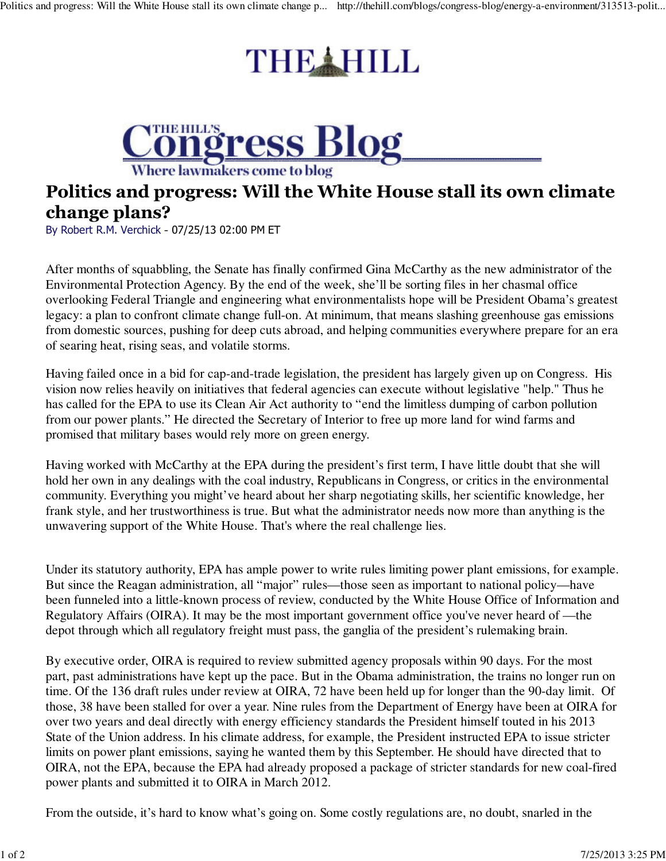## THE HILL



## Politics and progress: Will the White House stall its own climate change plans?

By Robert R.M. Verchick - 07/25/13 02:00 PM ET

After months of squabbling, the Senate has finally confirmed Gina McCarthy as the new administrator of the Environmental Protection Agency. By the end of the week, she'll be sorting files in her chasmal office overlooking Federal Triangle and engineering what environmentalists hope will be President Obama's greatest legacy: a plan to confront climate change full-on. At minimum, that means slashing greenhouse gas emissions from domestic sources, pushing for deep cuts abroad, and helping communities everywhere prepare for an era of searing heat, rising seas, and volatile storms.

Having failed once in a bid for cap-and-trade legislation, the president has largely given up on Congress. His vision now relies heavily on initiatives that federal agencies can execute without legislative "help." Thus he has called for the EPA to use its Clean Air Act authority to "end the limitless dumping of carbon pollution from our power plants." He directed the Secretary of Interior to free up more land for wind farms and promised that military bases would rely more on green energy.

Having worked with McCarthy at the EPA during the president's first term, I have little doubt that she will hold her own in any dealings with the coal industry, Republicans in Congress, or critics in the environmental community. Everything you might've heard about her sharp negotiating skills, her scientific knowledge, her frank style, and her trustworthiness is true. But what the administrator needs now more than anything is the unwavering support of the White House. That's where the real challenge lies.

Under its statutory authority, EPA has ample power to write rules limiting power plant emissions, for example. But since the Reagan administration, all "major" rules—those seen as important to national policy—have been funneled into a little-known process of review, conducted by the White House Office of Information and Regulatory Affairs (OIRA). It may be the most important government office you've never heard of —the depot through which all regulatory freight must pass, the ganglia of the president's rulemaking brain.

By executive order, OIRA is required to review submitted agency proposals within 90 days. For the most part, past administrations have kept up the pace. But in the Obama administration, the trains no longer run on time. Of the 136 draft rules under review at OIRA, 72 have been held up for longer than the 90-day limit. Of those, 38 have been stalled for over a year. Nine rules from the Department of Energy have been at OIRA for over two years and deal directly with energy efficiency standards the President himself touted in his 2013 State of the Union address. In his climate address, for example, the President instructed EPA to issue stricter limits on power plant emissions, saying he wanted them by this September. He should have directed that to OIRA, not the EPA, because the EPA had already proposed a package of stricter standards for new coal-fired power plants and submitted it to OIRA in March 2012.

From the outside, it's hard to know what's going on. Some costly regulations are, no doubt, snarled in the